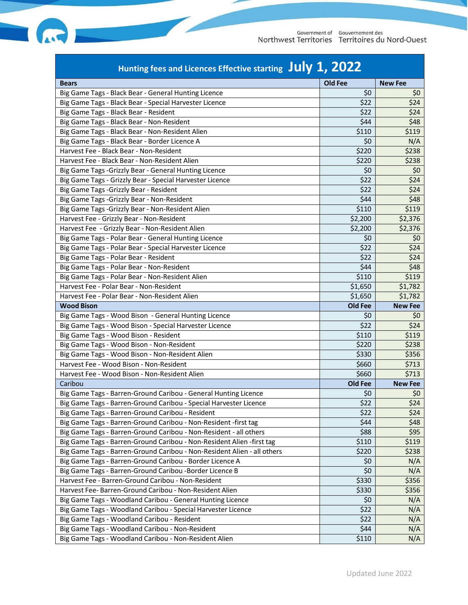

| Old Fee<br><b>New Fee</b><br><b>Bears</b><br>Big Game Tags - Black Bear - General Hunting Licence<br>\$0<br>\$0<br>\$24<br>Big Game Tags - Black Bear - Special Harvester Licence<br>\$22<br>Big Game Tags - Black Bear - Resident<br>\$22<br>\$24<br>\$44<br>\$48<br>Big Game Tags - Black Bear - Non-Resident<br>\$110<br>\$119<br>Big Game Tags - Black Bear - Non-Resident Alien<br>\$0<br>Big Game Tags - Black Bear - Border Licence A<br>N/A<br>\$220<br>\$238<br>Harvest Fee - Black Bear - Non-Resident<br>\$220<br>\$238<br>Harvest Fee - Black Bear - Non-Resident Alien<br>Big Game Tags - Grizzly Bear - General Hunting Licence<br>\$0<br>\$0<br>\$24<br>\$22<br>Big Game Tags - Grizzly Bear - Special Harvester Licence<br>\$22<br>\$24<br>Big Game Tags - Grizzly Bear - Resident<br>\$48<br>Big Game Tags - Grizzly Bear - Non-Resident<br>\$44<br>\$110<br>\$119<br>Big Game Tags - Grizzly Bear - Non-Resident Alien<br>\$2,200<br>\$2,376<br>Harvest Fee - Grizzly Bear - Non-Resident<br>\$2,376<br>Harvest Fee - Grizzly Bear - Non-Resident Alien<br>\$2,200<br>Big Game Tags - Polar Bear - General Hunting Licence<br>\$0<br>\$0<br>\$24<br>\$22<br>Big Game Tags - Polar Bear - Special Harvester Licence<br>\$24<br>\$22<br>Big Game Tags - Polar Bear - Resident<br>\$44<br>Big Game Tags - Polar Bear - Non-Resident<br>\$48<br>\$110<br>\$119<br>Big Game Tags - Polar Bear - Non-Resident Alien<br>Harvest Fee - Polar Bear - Non-Resident<br>\$1,650<br>\$1,782<br>\$1,650<br>\$1,782<br>Harvest Fee - Polar Bear - Non-Resident Alien<br>Old Fee<br><b>Wood Bison</b><br><b>New Fee</b><br>\$0<br>Big Game Tags - Wood Bison - General Hunting Licence<br>\$0<br>\$24<br>\$22<br>Big Game Tags - Wood Bison - Special Harvester Licence<br>Big Game Tags - Wood Bison - Resident<br>\$110<br>\$119<br>Big Game Tags - Wood Bison - Non-Resident<br>\$220<br>\$238<br>Big Game Tags - Wood Bison - Non-Resident Alien<br>\$330<br>\$356<br>Harvest Fee - Wood Bison - Non-Resident<br>\$660<br>\$713<br>\$660<br>\$713<br>Harvest Fee - Wood Bison - Non-Resident Alien<br>Caribou<br>Old Fee<br><b>New Fee</b><br>\$0<br>\$0<br>Big Game Tags - Barren-Ground Caribou - General Hunting Licence<br>\$22<br>\$24<br>Big Game Tags - Barren-Ground Caribou - Special Harvester Licence<br>\$22<br>\$24<br>Big Game Tags - Barren-Ground Caribou - Resident<br>Big Game Tags - Barren-Ground Caribou - Non-Resident -first tag<br>\$44<br>\$48<br>\$95<br>Big Game Tags - Barren-Ground Caribou - Non-Resident - all others<br>\$88<br>Big Game Tags - Barren-Ground Caribou - Non-Resident Alien -first tag<br>\$110<br>\$119<br>Big Game Tags - Barren-Ground Caribou - Non-Resident Alien - all others<br>\$220<br>\$238<br>Big Game Tags - Barren-Ground Caribou - Border Licence A<br>\$0<br>N/A<br>\$0<br>N/A<br>Big Game Tags - Barren-Ground Caribou - Border Licence B<br>\$356<br>Harvest Fee - Barren-Ground Caribou - Non-Resident<br>\$330<br>\$356<br>Harvest Fee- Barren-Ground Caribou - Non-Resident Alien<br>\$330<br>Big Game Tags - Woodland Caribou - General Hunting Licence<br>\$0<br>N/A<br>\$22<br>Big Game Tags - Woodland Caribou - Special Harvester Licence<br>N/A<br>Big Game Tags - Woodland Caribou - Resident<br>\$22<br>N/A<br>Big Game Tags - Woodland Caribou - Non-Resident<br>\$44<br>N/A | Hunting fees and Licences Effective starting $\int$ Uly 1, 2022 |       |     |  |
|----------------------------------------------------------------------------------------------------------------------------------------------------------------------------------------------------------------------------------------------------------------------------------------------------------------------------------------------------------------------------------------------------------------------------------------------------------------------------------------------------------------------------------------------------------------------------------------------------------------------------------------------------------------------------------------------------------------------------------------------------------------------------------------------------------------------------------------------------------------------------------------------------------------------------------------------------------------------------------------------------------------------------------------------------------------------------------------------------------------------------------------------------------------------------------------------------------------------------------------------------------------------------------------------------------------------------------------------------------------------------------------------------------------------------------------------------------------------------------------------------------------------------------------------------------------------------------------------------------------------------------------------------------------------------------------------------------------------------------------------------------------------------------------------------------------------------------------------------------------------------------------------------------------------------------------------------------------------------------------------------------------------------------------------------------------------------------------------------------------------------------------------------------------------------------------------------------------------------------------------------------------------------------------------------------------------------------------------------------------------------------------------------------------------------------------------------------------------------------------------------------------------------------------------------------------------------------------------------------------------------------------------------------------------------------------------------------------------------------------------------------------------------------------------------------------------------------------------------------------------------------------------------------------------------------------------------------------------------------------------------------------------------------------------------------------------------------------------------------------------------------------------------------------------------------------------------------------------------------------------------------------------------------------------------------------------------------------------------------------|-----------------------------------------------------------------|-------|-----|--|
|                                                                                                                                                                                                                                                                                                                                                                                                                                                                                                                                                                                                                                                                                                                                                                                                                                                                                                                                                                                                                                                                                                                                                                                                                                                                                                                                                                                                                                                                                                                                                                                                                                                                                                                                                                                                                                                                                                                                                                                                                                                                                                                                                                                                                                                                                                                                                                                                                                                                                                                                                                                                                                                                                                                                                                                                                                                                                                                                                                                                                                                                                                                                                                                                                                                                                                                                                                |                                                                 |       |     |  |
|                                                                                                                                                                                                                                                                                                                                                                                                                                                                                                                                                                                                                                                                                                                                                                                                                                                                                                                                                                                                                                                                                                                                                                                                                                                                                                                                                                                                                                                                                                                                                                                                                                                                                                                                                                                                                                                                                                                                                                                                                                                                                                                                                                                                                                                                                                                                                                                                                                                                                                                                                                                                                                                                                                                                                                                                                                                                                                                                                                                                                                                                                                                                                                                                                                                                                                                                                                |                                                                 |       |     |  |
|                                                                                                                                                                                                                                                                                                                                                                                                                                                                                                                                                                                                                                                                                                                                                                                                                                                                                                                                                                                                                                                                                                                                                                                                                                                                                                                                                                                                                                                                                                                                                                                                                                                                                                                                                                                                                                                                                                                                                                                                                                                                                                                                                                                                                                                                                                                                                                                                                                                                                                                                                                                                                                                                                                                                                                                                                                                                                                                                                                                                                                                                                                                                                                                                                                                                                                                                                                |                                                                 |       |     |  |
|                                                                                                                                                                                                                                                                                                                                                                                                                                                                                                                                                                                                                                                                                                                                                                                                                                                                                                                                                                                                                                                                                                                                                                                                                                                                                                                                                                                                                                                                                                                                                                                                                                                                                                                                                                                                                                                                                                                                                                                                                                                                                                                                                                                                                                                                                                                                                                                                                                                                                                                                                                                                                                                                                                                                                                                                                                                                                                                                                                                                                                                                                                                                                                                                                                                                                                                                                                |                                                                 |       |     |  |
|                                                                                                                                                                                                                                                                                                                                                                                                                                                                                                                                                                                                                                                                                                                                                                                                                                                                                                                                                                                                                                                                                                                                                                                                                                                                                                                                                                                                                                                                                                                                                                                                                                                                                                                                                                                                                                                                                                                                                                                                                                                                                                                                                                                                                                                                                                                                                                                                                                                                                                                                                                                                                                                                                                                                                                                                                                                                                                                                                                                                                                                                                                                                                                                                                                                                                                                                                                |                                                                 |       |     |  |
|                                                                                                                                                                                                                                                                                                                                                                                                                                                                                                                                                                                                                                                                                                                                                                                                                                                                                                                                                                                                                                                                                                                                                                                                                                                                                                                                                                                                                                                                                                                                                                                                                                                                                                                                                                                                                                                                                                                                                                                                                                                                                                                                                                                                                                                                                                                                                                                                                                                                                                                                                                                                                                                                                                                                                                                                                                                                                                                                                                                                                                                                                                                                                                                                                                                                                                                                                                |                                                                 |       |     |  |
|                                                                                                                                                                                                                                                                                                                                                                                                                                                                                                                                                                                                                                                                                                                                                                                                                                                                                                                                                                                                                                                                                                                                                                                                                                                                                                                                                                                                                                                                                                                                                                                                                                                                                                                                                                                                                                                                                                                                                                                                                                                                                                                                                                                                                                                                                                                                                                                                                                                                                                                                                                                                                                                                                                                                                                                                                                                                                                                                                                                                                                                                                                                                                                                                                                                                                                                                                                |                                                                 |       |     |  |
|                                                                                                                                                                                                                                                                                                                                                                                                                                                                                                                                                                                                                                                                                                                                                                                                                                                                                                                                                                                                                                                                                                                                                                                                                                                                                                                                                                                                                                                                                                                                                                                                                                                                                                                                                                                                                                                                                                                                                                                                                                                                                                                                                                                                                                                                                                                                                                                                                                                                                                                                                                                                                                                                                                                                                                                                                                                                                                                                                                                                                                                                                                                                                                                                                                                                                                                                                                |                                                                 |       |     |  |
|                                                                                                                                                                                                                                                                                                                                                                                                                                                                                                                                                                                                                                                                                                                                                                                                                                                                                                                                                                                                                                                                                                                                                                                                                                                                                                                                                                                                                                                                                                                                                                                                                                                                                                                                                                                                                                                                                                                                                                                                                                                                                                                                                                                                                                                                                                                                                                                                                                                                                                                                                                                                                                                                                                                                                                                                                                                                                                                                                                                                                                                                                                                                                                                                                                                                                                                                                                |                                                                 |       |     |  |
|                                                                                                                                                                                                                                                                                                                                                                                                                                                                                                                                                                                                                                                                                                                                                                                                                                                                                                                                                                                                                                                                                                                                                                                                                                                                                                                                                                                                                                                                                                                                                                                                                                                                                                                                                                                                                                                                                                                                                                                                                                                                                                                                                                                                                                                                                                                                                                                                                                                                                                                                                                                                                                                                                                                                                                                                                                                                                                                                                                                                                                                                                                                                                                                                                                                                                                                                                                |                                                                 |       |     |  |
|                                                                                                                                                                                                                                                                                                                                                                                                                                                                                                                                                                                                                                                                                                                                                                                                                                                                                                                                                                                                                                                                                                                                                                                                                                                                                                                                                                                                                                                                                                                                                                                                                                                                                                                                                                                                                                                                                                                                                                                                                                                                                                                                                                                                                                                                                                                                                                                                                                                                                                                                                                                                                                                                                                                                                                                                                                                                                                                                                                                                                                                                                                                                                                                                                                                                                                                                                                |                                                                 |       |     |  |
|                                                                                                                                                                                                                                                                                                                                                                                                                                                                                                                                                                                                                                                                                                                                                                                                                                                                                                                                                                                                                                                                                                                                                                                                                                                                                                                                                                                                                                                                                                                                                                                                                                                                                                                                                                                                                                                                                                                                                                                                                                                                                                                                                                                                                                                                                                                                                                                                                                                                                                                                                                                                                                                                                                                                                                                                                                                                                                                                                                                                                                                                                                                                                                                                                                                                                                                                                                |                                                                 |       |     |  |
|                                                                                                                                                                                                                                                                                                                                                                                                                                                                                                                                                                                                                                                                                                                                                                                                                                                                                                                                                                                                                                                                                                                                                                                                                                                                                                                                                                                                                                                                                                                                                                                                                                                                                                                                                                                                                                                                                                                                                                                                                                                                                                                                                                                                                                                                                                                                                                                                                                                                                                                                                                                                                                                                                                                                                                                                                                                                                                                                                                                                                                                                                                                                                                                                                                                                                                                                                                |                                                                 |       |     |  |
|                                                                                                                                                                                                                                                                                                                                                                                                                                                                                                                                                                                                                                                                                                                                                                                                                                                                                                                                                                                                                                                                                                                                                                                                                                                                                                                                                                                                                                                                                                                                                                                                                                                                                                                                                                                                                                                                                                                                                                                                                                                                                                                                                                                                                                                                                                                                                                                                                                                                                                                                                                                                                                                                                                                                                                                                                                                                                                                                                                                                                                                                                                                                                                                                                                                                                                                                                                |                                                                 |       |     |  |
|                                                                                                                                                                                                                                                                                                                                                                                                                                                                                                                                                                                                                                                                                                                                                                                                                                                                                                                                                                                                                                                                                                                                                                                                                                                                                                                                                                                                                                                                                                                                                                                                                                                                                                                                                                                                                                                                                                                                                                                                                                                                                                                                                                                                                                                                                                                                                                                                                                                                                                                                                                                                                                                                                                                                                                                                                                                                                                                                                                                                                                                                                                                                                                                                                                                                                                                                                                |                                                                 |       |     |  |
|                                                                                                                                                                                                                                                                                                                                                                                                                                                                                                                                                                                                                                                                                                                                                                                                                                                                                                                                                                                                                                                                                                                                                                                                                                                                                                                                                                                                                                                                                                                                                                                                                                                                                                                                                                                                                                                                                                                                                                                                                                                                                                                                                                                                                                                                                                                                                                                                                                                                                                                                                                                                                                                                                                                                                                                                                                                                                                                                                                                                                                                                                                                                                                                                                                                                                                                                                                |                                                                 |       |     |  |
|                                                                                                                                                                                                                                                                                                                                                                                                                                                                                                                                                                                                                                                                                                                                                                                                                                                                                                                                                                                                                                                                                                                                                                                                                                                                                                                                                                                                                                                                                                                                                                                                                                                                                                                                                                                                                                                                                                                                                                                                                                                                                                                                                                                                                                                                                                                                                                                                                                                                                                                                                                                                                                                                                                                                                                                                                                                                                                                                                                                                                                                                                                                                                                                                                                                                                                                                                                |                                                                 |       |     |  |
|                                                                                                                                                                                                                                                                                                                                                                                                                                                                                                                                                                                                                                                                                                                                                                                                                                                                                                                                                                                                                                                                                                                                                                                                                                                                                                                                                                                                                                                                                                                                                                                                                                                                                                                                                                                                                                                                                                                                                                                                                                                                                                                                                                                                                                                                                                                                                                                                                                                                                                                                                                                                                                                                                                                                                                                                                                                                                                                                                                                                                                                                                                                                                                                                                                                                                                                                                                |                                                                 |       |     |  |
|                                                                                                                                                                                                                                                                                                                                                                                                                                                                                                                                                                                                                                                                                                                                                                                                                                                                                                                                                                                                                                                                                                                                                                                                                                                                                                                                                                                                                                                                                                                                                                                                                                                                                                                                                                                                                                                                                                                                                                                                                                                                                                                                                                                                                                                                                                                                                                                                                                                                                                                                                                                                                                                                                                                                                                                                                                                                                                                                                                                                                                                                                                                                                                                                                                                                                                                                                                |                                                                 |       |     |  |
|                                                                                                                                                                                                                                                                                                                                                                                                                                                                                                                                                                                                                                                                                                                                                                                                                                                                                                                                                                                                                                                                                                                                                                                                                                                                                                                                                                                                                                                                                                                                                                                                                                                                                                                                                                                                                                                                                                                                                                                                                                                                                                                                                                                                                                                                                                                                                                                                                                                                                                                                                                                                                                                                                                                                                                                                                                                                                                                                                                                                                                                                                                                                                                                                                                                                                                                                                                |                                                                 |       |     |  |
|                                                                                                                                                                                                                                                                                                                                                                                                                                                                                                                                                                                                                                                                                                                                                                                                                                                                                                                                                                                                                                                                                                                                                                                                                                                                                                                                                                                                                                                                                                                                                                                                                                                                                                                                                                                                                                                                                                                                                                                                                                                                                                                                                                                                                                                                                                                                                                                                                                                                                                                                                                                                                                                                                                                                                                                                                                                                                                                                                                                                                                                                                                                                                                                                                                                                                                                                                                |                                                                 |       |     |  |
|                                                                                                                                                                                                                                                                                                                                                                                                                                                                                                                                                                                                                                                                                                                                                                                                                                                                                                                                                                                                                                                                                                                                                                                                                                                                                                                                                                                                                                                                                                                                                                                                                                                                                                                                                                                                                                                                                                                                                                                                                                                                                                                                                                                                                                                                                                                                                                                                                                                                                                                                                                                                                                                                                                                                                                                                                                                                                                                                                                                                                                                                                                                                                                                                                                                                                                                                                                |                                                                 |       |     |  |
|                                                                                                                                                                                                                                                                                                                                                                                                                                                                                                                                                                                                                                                                                                                                                                                                                                                                                                                                                                                                                                                                                                                                                                                                                                                                                                                                                                                                                                                                                                                                                                                                                                                                                                                                                                                                                                                                                                                                                                                                                                                                                                                                                                                                                                                                                                                                                                                                                                                                                                                                                                                                                                                                                                                                                                                                                                                                                                                                                                                                                                                                                                                                                                                                                                                                                                                                                                |                                                                 |       |     |  |
|                                                                                                                                                                                                                                                                                                                                                                                                                                                                                                                                                                                                                                                                                                                                                                                                                                                                                                                                                                                                                                                                                                                                                                                                                                                                                                                                                                                                                                                                                                                                                                                                                                                                                                                                                                                                                                                                                                                                                                                                                                                                                                                                                                                                                                                                                                                                                                                                                                                                                                                                                                                                                                                                                                                                                                                                                                                                                                                                                                                                                                                                                                                                                                                                                                                                                                                                                                |                                                                 |       |     |  |
|                                                                                                                                                                                                                                                                                                                                                                                                                                                                                                                                                                                                                                                                                                                                                                                                                                                                                                                                                                                                                                                                                                                                                                                                                                                                                                                                                                                                                                                                                                                                                                                                                                                                                                                                                                                                                                                                                                                                                                                                                                                                                                                                                                                                                                                                                                                                                                                                                                                                                                                                                                                                                                                                                                                                                                                                                                                                                                                                                                                                                                                                                                                                                                                                                                                                                                                                                                |                                                                 |       |     |  |
|                                                                                                                                                                                                                                                                                                                                                                                                                                                                                                                                                                                                                                                                                                                                                                                                                                                                                                                                                                                                                                                                                                                                                                                                                                                                                                                                                                                                                                                                                                                                                                                                                                                                                                                                                                                                                                                                                                                                                                                                                                                                                                                                                                                                                                                                                                                                                                                                                                                                                                                                                                                                                                                                                                                                                                                                                                                                                                                                                                                                                                                                                                                                                                                                                                                                                                                                                                |                                                                 |       |     |  |
|                                                                                                                                                                                                                                                                                                                                                                                                                                                                                                                                                                                                                                                                                                                                                                                                                                                                                                                                                                                                                                                                                                                                                                                                                                                                                                                                                                                                                                                                                                                                                                                                                                                                                                                                                                                                                                                                                                                                                                                                                                                                                                                                                                                                                                                                                                                                                                                                                                                                                                                                                                                                                                                                                                                                                                                                                                                                                                                                                                                                                                                                                                                                                                                                                                                                                                                                                                |                                                                 |       |     |  |
|                                                                                                                                                                                                                                                                                                                                                                                                                                                                                                                                                                                                                                                                                                                                                                                                                                                                                                                                                                                                                                                                                                                                                                                                                                                                                                                                                                                                                                                                                                                                                                                                                                                                                                                                                                                                                                                                                                                                                                                                                                                                                                                                                                                                                                                                                                                                                                                                                                                                                                                                                                                                                                                                                                                                                                                                                                                                                                                                                                                                                                                                                                                                                                                                                                                                                                                                                                |                                                                 |       |     |  |
|                                                                                                                                                                                                                                                                                                                                                                                                                                                                                                                                                                                                                                                                                                                                                                                                                                                                                                                                                                                                                                                                                                                                                                                                                                                                                                                                                                                                                                                                                                                                                                                                                                                                                                                                                                                                                                                                                                                                                                                                                                                                                                                                                                                                                                                                                                                                                                                                                                                                                                                                                                                                                                                                                                                                                                                                                                                                                                                                                                                                                                                                                                                                                                                                                                                                                                                                                                |                                                                 |       |     |  |
|                                                                                                                                                                                                                                                                                                                                                                                                                                                                                                                                                                                                                                                                                                                                                                                                                                                                                                                                                                                                                                                                                                                                                                                                                                                                                                                                                                                                                                                                                                                                                                                                                                                                                                                                                                                                                                                                                                                                                                                                                                                                                                                                                                                                                                                                                                                                                                                                                                                                                                                                                                                                                                                                                                                                                                                                                                                                                                                                                                                                                                                                                                                                                                                                                                                                                                                                                                |                                                                 |       |     |  |
|                                                                                                                                                                                                                                                                                                                                                                                                                                                                                                                                                                                                                                                                                                                                                                                                                                                                                                                                                                                                                                                                                                                                                                                                                                                                                                                                                                                                                                                                                                                                                                                                                                                                                                                                                                                                                                                                                                                                                                                                                                                                                                                                                                                                                                                                                                                                                                                                                                                                                                                                                                                                                                                                                                                                                                                                                                                                                                                                                                                                                                                                                                                                                                                                                                                                                                                                                                |                                                                 |       |     |  |
|                                                                                                                                                                                                                                                                                                                                                                                                                                                                                                                                                                                                                                                                                                                                                                                                                                                                                                                                                                                                                                                                                                                                                                                                                                                                                                                                                                                                                                                                                                                                                                                                                                                                                                                                                                                                                                                                                                                                                                                                                                                                                                                                                                                                                                                                                                                                                                                                                                                                                                                                                                                                                                                                                                                                                                                                                                                                                                                                                                                                                                                                                                                                                                                                                                                                                                                                                                |                                                                 |       |     |  |
|                                                                                                                                                                                                                                                                                                                                                                                                                                                                                                                                                                                                                                                                                                                                                                                                                                                                                                                                                                                                                                                                                                                                                                                                                                                                                                                                                                                                                                                                                                                                                                                                                                                                                                                                                                                                                                                                                                                                                                                                                                                                                                                                                                                                                                                                                                                                                                                                                                                                                                                                                                                                                                                                                                                                                                                                                                                                                                                                                                                                                                                                                                                                                                                                                                                                                                                                                                |                                                                 |       |     |  |
|                                                                                                                                                                                                                                                                                                                                                                                                                                                                                                                                                                                                                                                                                                                                                                                                                                                                                                                                                                                                                                                                                                                                                                                                                                                                                                                                                                                                                                                                                                                                                                                                                                                                                                                                                                                                                                                                                                                                                                                                                                                                                                                                                                                                                                                                                                                                                                                                                                                                                                                                                                                                                                                                                                                                                                                                                                                                                                                                                                                                                                                                                                                                                                                                                                                                                                                                                                |                                                                 |       |     |  |
|                                                                                                                                                                                                                                                                                                                                                                                                                                                                                                                                                                                                                                                                                                                                                                                                                                                                                                                                                                                                                                                                                                                                                                                                                                                                                                                                                                                                                                                                                                                                                                                                                                                                                                                                                                                                                                                                                                                                                                                                                                                                                                                                                                                                                                                                                                                                                                                                                                                                                                                                                                                                                                                                                                                                                                                                                                                                                                                                                                                                                                                                                                                                                                                                                                                                                                                                                                |                                                                 |       |     |  |
|                                                                                                                                                                                                                                                                                                                                                                                                                                                                                                                                                                                                                                                                                                                                                                                                                                                                                                                                                                                                                                                                                                                                                                                                                                                                                                                                                                                                                                                                                                                                                                                                                                                                                                                                                                                                                                                                                                                                                                                                                                                                                                                                                                                                                                                                                                                                                                                                                                                                                                                                                                                                                                                                                                                                                                                                                                                                                                                                                                                                                                                                                                                                                                                                                                                                                                                                                                |                                                                 |       |     |  |
|                                                                                                                                                                                                                                                                                                                                                                                                                                                                                                                                                                                                                                                                                                                                                                                                                                                                                                                                                                                                                                                                                                                                                                                                                                                                                                                                                                                                                                                                                                                                                                                                                                                                                                                                                                                                                                                                                                                                                                                                                                                                                                                                                                                                                                                                                                                                                                                                                                                                                                                                                                                                                                                                                                                                                                                                                                                                                                                                                                                                                                                                                                                                                                                                                                                                                                                                                                |                                                                 |       |     |  |
|                                                                                                                                                                                                                                                                                                                                                                                                                                                                                                                                                                                                                                                                                                                                                                                                                                                                                                                                                                                                                                                                                                                                                                                                                                                                                                                                                                                                                                                                                                                                                                                                                                                                                                                                                                                                                                                                                                                                                                                                                                                                                                                                                                                                                                                                                                                                                                                                                                                                                                                                                                                                                                                                                                                                                                                                                                                                                                                                                                                                                                                                                                                                                                                                                                                                                                                                                                |                                                                 |       |     |  |
|                                                                                                                                                                                                                                                                                                                                                                                                                                                                                                                                                                                                                                                                                                                                                                                                                                                                                                                                                                                                                                                                                                                                                                                                                                                                                                                                                                                                                                                                                                                                                                                                                                                                                                                                                                                                                                                                                                                                                                                                                                                                                                                                                                                                                                                                                                                                                                                                                                                                                                                                                                                                                                                                                                                                                                                                                                                                                                                                                                                                                                                                                                                                                                                                                                                                                                                                                                |                                                                 |       |     |  |
|                                                                                                                                                                                                                                                                                                                                                                                                                                                                                                                                                                                                                                                                                                                                                                                                                                                                                                                                                                                                                                                                                                                                                                                                                                                                                                                                                                                                                                                                                                                                                                                                                                                                                                                                                                                                                                                                                                                                                                                                                                                                                                                                                                                                                                                                                                                                                                                                                                                                                                                                                                                                                                                                                                                                                                                                                                                                                                                                                                                                                                                                                                                                                                                                                                                                                                                                                                |                                                                 |       |     |  |
|                                                                                                                                                                                                                                                                                                                                                                                                                                                                                                                                                                                                                                                                                                                                                                                                                                                                                                                                                                                                                                                                                                                                                                                                                                                                                                                                                                                                                                                                                                                                                                                                                                                                                                                                                                                                                                                                                                                                                                                                                                                                                                                                                                                                                                                                                                                                                                                                                                                                                                                                                                                                                                                                                                                                                                                                                                                                                                                                                                                                                                                                                                                                                                                                                                                                                                                                                                |                                                                 |       |     |  |
|                                                                                                                                                                                                                                                                                                                                                                                                                                                                                                                                                                                                                                                                                                                                                                                                                                                                                                                                                                                                                                                                                                                                                                                                                                                                                                                                                                                                                                                                                                                                                                                                                                                                                                                                                                                                                                                                                                                                                                                                                                                                                                                                                                                                                                                                                                                                                                                                                                                                                                                                                                                                                                                                                                                                                                                                                                                                                                                                                                                                                                                                                                                                                                                                                                                                                                                                                                |                                                                 |       |     |  |
|                                                                                                                                                                                                                                                                                                                                                                                                                                                                                                                                                                                                                                                                                                                                                                                                                                                                                                                                                                                                                                                                                                                                                                                                                                                                                                                                                                                                                                                                                                                                                                                                                                                                                                                                                                                                                                                                                                                                                                                                                                                                                                                                                                                                                                                                                                                                                                                                                                                                                                                                                                                                                                                                                                                                                                                                                                                                                                                                                                                                                                                                                                                                                                                                                                                                                                                                                                |                                                                 |       |     |  |
|                                                                                                                                                                                                                                                                                                                                                                                                                                                                                                                                                                                                                                                                                                                                                                                                                                                                                                                                                                                                                                                                                                                                                                                                                                                                                                                                                                                                                                                                                                                                                                                                                                                                                                                                                                                                                                                                                                                                                                                                                                                                                                                                                                                                                                                                                                                                                                                                                                                                                                                                                                                                                                                                                                                                                                                                                                                                                                                                                                                                                                                                                                                                                                                                                                                                                                                                                                |                                                                 |       |     |  |
|                                                                                                                                                                                                                                                                                                                                                                                                                                                                                                                                                                                                                                                                                                                                                                                                                                                                                                                                                                                                                                                                                                                                                                                                                                                                                                                                                                                                                                                                                                                                                                                                                                                                                                                                                                                                                                                                                                                                                                                                                                                                                                                                                                                                                                                                                                                                                                                                                                                                                                                                                                                                                                                                                                                                                                                                                                                                                                                                                                                                                                                                                                                                                                                                                                                                                                                                                                |                                                                 |       |     |  |
|                                                                                                                                                                                                                                                                                                                                                                                                                                                                                                                                                                                                                                                                                                                                                                                                                                                                                                                                                                                                                                                                                                                                                                                                                                                                                                                                                                                                                                                                                                                                                                                                                                                                                                                                                                                                                                                                                                                                                                                                                                                                                                                                                                                                                                                                                                                                                                                                                                                                                                                                                                                                                                                                                                                                                                                                                                                                                                                                                                                                                                                                                                                                                                                                                                                                                                                                                                |                                                                 |       |     |  |
|                                                                                                                                                                                                                                                                                                                                                                                                                                                                                                                                                                                                                                                                                                                                                                                                                                                                                                                                                                                                                                                                                                                                                                                                                                                                                                                                                                                                                                                                                                                                                                                                                                                                                                                                                                                                                                                                                                                                                                                                                                                                                                                                                                                                                                                                                                                                                                                                                                                                                                                                                                                                                                                                                                                                                                                                                                                                                                                                                                                                                                                                                                                                                                                                                                                                                                                                                                |                                                                 |       |     |  |
|                                                                                                                                                                                                                                                                                                                                                                                                                                                                                                                                                                                                                                                                                                                                                                                                                                                                                                                                                                                                                                                                                                                                                                                                                                                                                                                                                                                                                                                                                                                                                                                                                                                                                                                                                                                                                                                                                                                                                                                                                                                                                                                                                                                                                                                                                                                                                                                                                                                                                                                                                                                                                                                                                                                                                                                                                                                                                                                                                                                                                                                                                                                                                                                                                                                                                                                                                                | Big Game Tags - Woodland Caribou - Non-Resident Alien           | \$110 | N/A |  |

 $\overline{\phantom{0}}$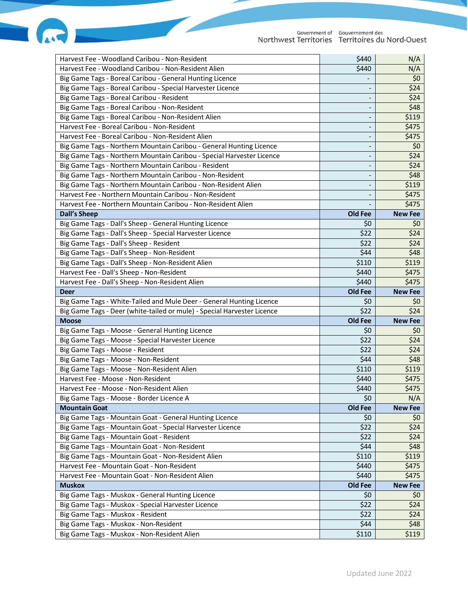| Harvest Fee - Woodland Caribou - Non-Resident                           | \$440   | N/A            |
|-------------------------------------------------------------------------|---------|----------------|
| Harvest Fee - Woodland Caribou - Non-Resident Alien                     | \$440   | N/A            |
| Big Game Tags - Boreal Caribou - General Hunting Licence                |         | \$0            |
| Big Game Tags - Boreal Caribou - Special Harvester Licence              |         | \$24           |
| Big Game Tags - Boreal Caribou - Resident                               |         | \$24           |
| Big Game Tags - Boreal Caribou - Non-Resident                           |         | \$48           |
| Big Game Tags - Boreal Caribou - Non-Resident Alien                     |         | \$119          |
| Harvest Fee - Boreal Caribou - Non-Resident                             |         | \$475          |
| Harvest Fee - Boreal Caribou - Non-Resident Alien                       |         | \$475          |
| Big Game Tags - Northern Mountain Caribou - General Hunting Licence     |         | \$0            |
| Big Game Tags - Northern Mountain Caribou - Special Harvester Licence   |         | \$24           |
| Big Game Tags - Northern Mountain Caribou - Resident                    |         | \$24           |
| Big Game Tags - Northern Mountain Caribou - Non-Resident                |         | \$48           |
| Big Game Tags - Northern Mountain Caribou - Non-Resident Alien          |         | \$119          |
| Harvest Fee - Northern Mountain Caribou - Non-Resident                  |         | \$475          |
| Harvest Fee - Northern Mountain Caribou - Non-Resident Alien            |         | \$475          |
| <b>Dall's Sheep</b>                                                     | Old Fee | <b>New Fee</b> |
| Big Game Tags - Dall's Sheep - General Hunting Licence                  | \$0     | \$0            |
| Big Game Tags - Dall's Sheep - Special Harvester Licence                | \$22    | \$24           |
| Big Game Tags - Dall's Sheep - Resident                                 | \$22    | \$24           |
| Big Game Tags - Dall's Sheep - Non-Resident                             | \$44    | \$48           |
| Big Game Tags - Dall's Sheep - Non-Resident Alien                       | \$110   | \$119          |
| Harvest Fee - Dall's Sheep - Non-Resident                               | \$440   | \$475          |
|                                                                         | \$440   | \$475          |
| Harvest Fee - Dall's Sheep - Non-Resident Alien<br><b>Deer</b>          | Old Fee | <b>New Fee</b> |
|                                                                         |         |                |
|                                                                         |         |                |
| Big Game Tags - White-Tailed and Mule Deer - General Hunting Licence    | \$0     | \$0            |
| Big Game Tags - Deer (white-tailed or mule) - Special Harvester Licence | \$22    | \$24           |
| <b>Moose</b>                                                            | Old Fee | <b>New Fee</b> |
| Big Game Tags - Moose - General Hunting Licence                         | \$0     | \$0            |
| Big Game Tags - Moose - Special Harvester Licence                       | \$22    | \$24           |
| Big Game Tags - Moose - Resident                                        | \$22    | \$24           |
| Big Game Tags - Moose - Non-Resident                                    | \$44    | \$48           |
| Big Game Tags - Moose - Non-Resident Alien                              | \$110   | \$119          |
| Harvest Fee - Moose - Non-Resident                                      | \$440   | \$475          |
| Harvest Fee - Moose - Non-Resident Alien                                | \$440   | \$475          |
| Big Game Tags - Moose - Border Licence A                                | \$0     | N/A            |
| <b>Mountain Goat</b>                                                    | Old Fee | <b>New Fee</b> |
| Big Game Tags - Mountain Goat - General Hunting Licence                 | \$0     | \$0            |
| Big Game Tags - Mountain Goat - Special Harvester Licence               | \$22    | \$24           |
| Big Game Tags - Mountain Goat - Resident                                | \$22    | \$24           |
| Big Game Tags - Mountain Goat - Non-Resident                            | \$44    | \$48           |
| Big Game Tags - Mountain Goat - Non-Resident Alien                      | \$110   | \$119          |
| Harvest Fee - Mountain Goat - Non-Resident                              | \$440   | \$475          |
| Harvest Fee - Mountain Goat - Non-Resident Alien                        | \$440   | \$475          |
| <b>Muskox</b>                                                           | Old Fee | <b>New Fee</b> |
| Big Game Tags - Muskox - General Hunting Licence                        | \$0     | \$0            |
| Big Game Tags - Muskox - Special Harvester Licence                      | \$22    | \$24           |
| Big Game Tags - Muskox - Resident                                       | \$22    | \$24           |
| Big Game Tags - Muskox - Non-Resident                                   | \$44    | \$48           |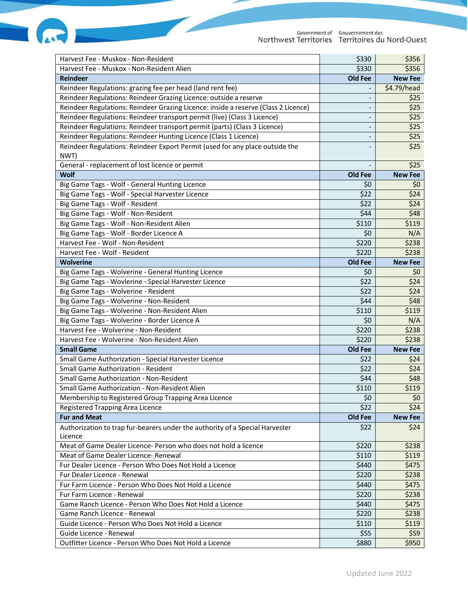| Harvest Fee - Muskox - Non-Resident                                                     | \$330                        | \$356          |
|-----------------------------------------------------------------------------------------|------------------------------|----------------|
| Harvest Fee - Muskox - Non-Resident Alien                                               | \$330                        | \$356          |
| <b>Reindeer</b>                                                                         | Old Fee                      | <b>New Fee</b> |
| Reindeer Regulations: grazing fee per head (land rent fee)                              |                              | \$4.79/head    |
| Reindeer Regulations: Reindeer Grazing Licence: outside a reserve                       |                              | \$25           |
| Reindeer Regulations: Reindeer Grazing Licence: inside a reserve (Class 2 Licence)      |                              | \$25           |
| Reindeer Regulations: Reindeer transport permit (live) (Class 3 Licence)                |                              | \$25           |
| Reindeer Regulations: Reindeer transport permit (parts) (Class 3 Licence)               | $\qquad \qquad \blacksquare$ | \$25           |
| Reindeer Regulations: Reindeer Hunting Licence (Class 1 Licence)                        |                              | \$25           |
| Reindeer Regulations: Reindeer Export Permit (used for any place outside the            |                              | \$25           |
| NWT)                                                                                    |                              |                |
| General - replacement of lost licence or permit                                         |                              | \$25           |
| Wolf                                                                                    | Old Fee                      | <b>New Fee</b> |
| Big Game Tags - Wolf - General Hunting Licence                                          | \$0                          | \$0            |
| Big Game Tags - Wolf - Special Harvester Licence                                        | \$22                         | \$24           |
| Big Game Tags - Wolf - Resident                                                         | \$22                         | \$24           |
| Big Game Tags - Wolf - Non-Resident                                                     | \$44                         | \$48           |
| Big Game Tags - Wolf - Non-Resident Alien                                               | \$110                        | \$119          |
| Big Game Tags - Wolf - Border Licence A                                                 | \$0                          | N/A            |
| Harvest Fee - Wolf - Non-Resident                                                       | \$220                        | \$238          |
| Harvest Fee - Wolf - Resident                                                           | \$220                        | \$238          |
| <b>Wolverine</b>                                                                        | Old Fee                      | <b>New Fee</b> |
| Big Game Tags - Wolverine - General Hunting Licence                                     | \$0                          | \$0            |
| Big Game Tags - Wovlerine - Special Harvester Licence                                   | \$22                         | \$24           |
| Big Game Tags - Wolverine - Resident                                                    | \$22                         | \$24           |
| Big Game Tags - Wolverine - Non-Resident                                                | \$44                         | \$48           |
| Big Game Tags - Wolverine - Non-Resident Alien                                          | \$110                        | \$119          |
| Big Game Tags - Wolverine - Border Licence A                                            | \$0                          | N/A            |
| Harvest Fee - Wolverine - Non-Resident                                                  | \$220                        | \$238          |
| Harvest Fee - Wolverine - Non-Resident Alien                                            | \$220                        | \$238          |
| <b>Small Game</b>                                                                       | Old Fee                      | <b>New Fee</b> |
| Small Game Authorization - Special Harvester Licence                                    | \$22                         | \$24           |
| <b>Small Game Authorization - Resident</b>                                              | \$22                         | \$24           |
| <b>Small Game Authorization - Non-Resident</b>                                          | \$44                         | \$48           |
| Small Game Authorization - Non-Resident Alien                                           | \$110                        | \$119          |
| Membership to Registered Group Trapping Area Licence                                    | \$0                          | \$0            |
| Registered Trapping Area Licence                                                        | \$22                         | \$24           |
| <b>Fur and Meat</b>                                                                     | Old Fee                      | <b>New Fee</b> |
| Authorization to trap fur-bearers under the authority of a Special Harvester<br>Licence | \$22                         | \$24           |
| Meat of Game Dealer Licence- Person who does not hold a licence                         | \$220                        | \$238          |
| Meat of Game Dealer Licence-Renewal                                                     | \$110                        | \$119          |
| Fur Dealer Licence - Person Who Does Not Hold a Licence                                 | \$440                        | \$475          |
| Fur Dealer Licence - Renewal                                                            | \$220                        | \$238          |
| Fur Farm Licence - Person Who Does Not Hold a Licence                                   | \$440                        | \$475          |
| Fur Farm Licence - Renewal                                                              | \$220                        | \$238          |
| Game Ranch Licence - Person Who Does Not Hold a Licence                                 | \$440                        | \$475          |
| Game Ranch Licence - Renewal                                                            | \$220                        | \$238          |
| Guide Licence - Person Who Does Not Hold a Licence                                      | \$110                        | \$119          |
| Guide Licence - Renewal                                                                 | \$55                         | \$59           |
| Outfitter Licence - Person Who Does Not Hold a Licence                                  | \$880                        | \$950          |